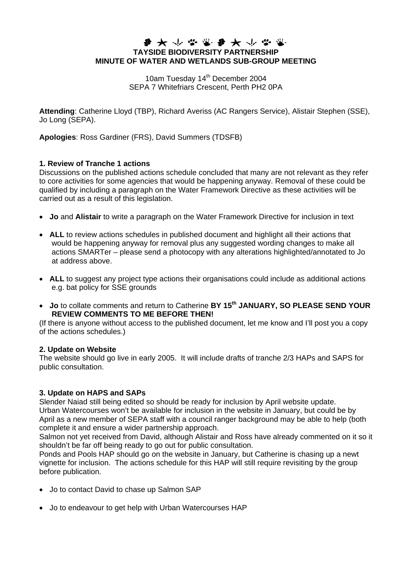# **TAYSIDE BIODIVERSITY PARTNERSHIP MINUTE OF WATER AND WETLANDS SUB-GROUP MEETING**

10am Tuesday 14<sup>th</sup> December 2004 SEPA 7 Whitefriars Crescent, Perth PH2 0PA

**Attending**: Catherine Lloyd (TBP), Richard Averiss (AC Rangers Service), Alistair Stephen (SSE), Jo Long (SEPA).

**Apologies**: Ross Gardiner (FRS), David Summers (TDSFB)

#### **1. Review of Tranche 1 actions**

Discussions on the published actions schedule concluded that many are not relevant as they refer to core activities for some agencies that would be happening anyway. Removal of these could be qualified by including a paragraph on the Water Framework Directive as these activities will be carried out as a result of this legislation.

- **Jo** and **Alistair** to write a paragraph on the Water Framework Directive for inclusion in text
- **ALL** to review actions schedules in published document and highlight all their actions that would be happening anyway for removal plus any suggested wording changes to make all actions SMARTer – please send a photocopy with any alterations highlighted/annotated to Jo at address above.
- **ALL** to suggest any project type actions their organisations could include as additional actions e.g. bat policy for SSE grounds
- Jo to collate comments and return to Catherine BY 15<sup>th</sup> JANUARY, SO PLEASE SEND YOUR **REVIEW COMMENTS TO ME BEFORE THEN!**

(If there is anyone without access to the published document, let me know and I'll post you a copy of the actions schedules.)

#### **2. Update on Website**

The website should go live in early 2005. It will include drafts of tranche 2/3 HAPs and SAPS for public consultation.

### **3. Update on HAPS and SAPs**

Slender Naiad still being edited so should be ready for inclusion by April website update. Urban Watercourses won't be available for inclusion in the website in January, but could be by April as a new member of SEPA staff with a council ranger background may be able to help (both complete it and ensure a wider partnership approach.

Salmon not yet received from David, although Alistair and Ross have already commented on it so it shouldn't be far off being ready to go out for public consultation.

Ponds and Pools HAP should go on the website in January, but Catherine is chasing up a newt vignette for inclusion. The actions schedule for this HAP will still require revisiting by the group before publication.

- Jo to contact David to chase up Salmon SAP
- Jo to endeavour to get help with Urban Watercourses HAP